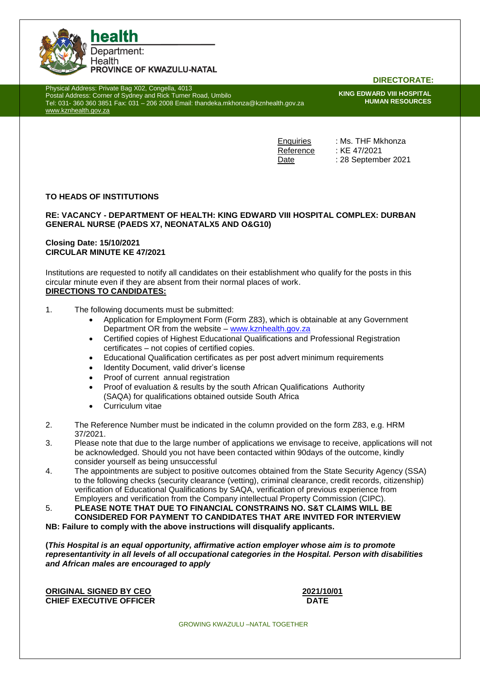

Physical Address: Private Bag X02, Congella, 4013 Postal Address: Corner of Sydney and Rick Turner Road, Umbilo Tel: 031- 360 360 3851 Fax: 031 – 206 2008 Email: thandeka.mkhonza@kznhealth.gov.za [www.kznhealth.gov.za](http://www.kznhealth.gov.za/)

**DIRECTORATE:**

**KING EDWARD VIII HOSPITAL HUMAN RESOURCES**

Enquiries : Ms. THF Mkhonza Reference : KE 47/2021 Date : 28 September 2021

## **TO HEADS OF INSTITUTIONS**

#### **RE: VACANCY - DEPARTMENT OF HEALTH: KING EDWARD VIII HOSPITAL COMPLEX: DURBAN GENERAL NURSE (PAEDS X7, NEONATALX5 AND O&G10)**

### **Closing Date: 15/10/2021 CIRCULAR MINUTE KE 47/2021**

Institutions are requested to notify all candidates on their establishment who qualify for the posts in this circular minute even if they are absent from their normal places of work.

## **DIRECTIONS TO CANDIDATES:**

- 1. The following documents must be submitted:
	- Application for Employment Form (Form Z83), which is obtainable at any Government Department OR from the website – www.kznhealth.gov.za
	- Certified copies of Highest Educational Qualifications and Professional Registration certificates – not copies of certified copies.
	- Educational Qualification certificates as per post advert minimum requirements
	- Identity Document, valid driver's license
	- Proof of current annual registration
	- Proof of evaluation & results by the south African Qualifications Authority (SAQA) for qualifications obtained outside South Africa
	- Curriculum vitae
- 2. The Reference Number must be indicated in the column provided on the form Z83, e.g. HRM 37/2021.
- 3. Please note that due to the large number of applications we envisage to receive, applications will not be acknowledged. Should you not have been contacted within 90days of the outcome, kindly consider yourself as being unsuccessful
- 4. The appointments are subject to positive outcomes obtained from the State Security Agency (SSA) to the following checks (security clearance (vetting), criminal clearance, credit records, citizenship) verification of Educational Qualifications by SAQA, verification of previous experience from Employers and verification from the Company intellectual Property Commission (CIPC).
- 5. **PLEASE NOTE THAT DUE TO FINANCIAL CONSTRAINS NO. S&T CLAIMS WILL BE CONSIDERED FOR PAYMENT TO CANDIDATES THAT ARE INVITED FOR INTERVIEW**

**NB: Failure to comply with the above instructions will disqualify applicants.**

**(***This Hospital is an equal opportunity, affirmative action employer whose aim is to promote representantivity in all levels of all occupational categories in the Hospital. Person with disabilities and African males are encouraged to apply*

**ORIGINAL SIGNED BY CEO 2021/10/01 CHIEF EXECUTIVE OFFICER DATE** 

GROWING KWAZULU –NATAL TOGETHER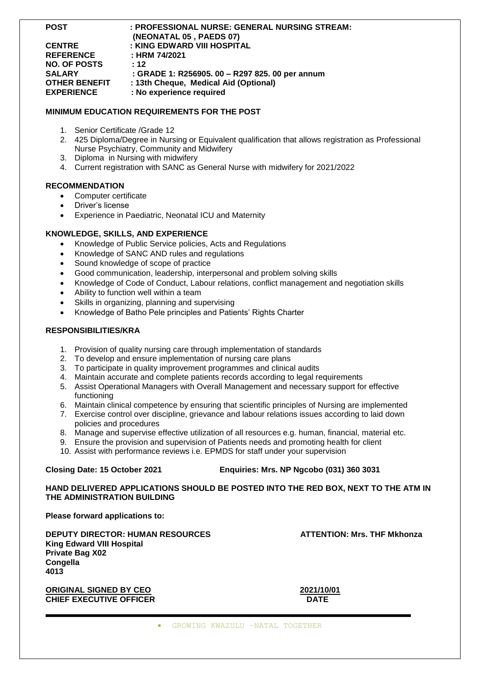**POST : PROFESSIONAL NURSE: GENERAL NURSING STREAM:** 

|                     | (NEONATAL 05, PAEDS 07)                         |
|---------------------|-------------------------------------------------|
| <b>CENTRE</b>       | : KING EDWARD VIII HOSPITAL                     |
| <b>REFERENCE</b>    | : HRM 74/2021                                   |
| <b>NO. OF POSTS</b> | : 12                                            |
| SALARY              | : GRADE 1: R256905. 00 - R297 825. 00 per annum |
| OTHER BENEFIT       | : 13th Cheque, Medical Aid (Optional)           |
| <b>EXPERIENCE</b>   | : No experience required                        |
|                     |                                                 |

## **MINIMUM EDUCATION REQUIREMENTS FOR THE POST**

- 1. Senior Certificate /Grade 12
- 2. 425 Diploma/Degree in Nursing or Equivalent qualification that allows registration as Professional Nurse Psychiatry, Community and Midwifery
- 3. Diploma in Nursing with midwifery
- 4. Current registration with SANC as General Nurse with midwifery for 2021/2022

#### **RECOMMENDATION**

- Computer certificate
- Driver's license
- Experience in Paediatric, Neonatal ICU and Maternity

#### **KNOWLEDGE, SKILLS, AND EXPERIENCE**

- Knowledge of Public Service policies, Acts and Regulations
- Knowledge of SANC AND rules and regulations
- Sound knowledge of scope of practice
- Good communication, leadership, interpersonal and problem solving skills
- Knowledge of Code of Conduct, Labour relations, conflict management and negotiation skills
- Ability to function well within a team
- Skills in organizing, planning and supervising
- Knowledge of Batho Pele principles and Patients' Rights Charter

#### **RESPONSIBILITIES/KRA**

- 1. Provision of quality nursing care through implementation of standards
- 2. To develop and ensure implementation of nursing care plans
- 3. To participate in quality improvement programmes and clinical audits
- 4. Maintain accurate and complete patients records according to legal requirements
- 5. Assist Operational Managers with Overall Management and necessary support for effective functioning
- 6. Maintain clinical competence by ensuring that scientific principles of Nursing are implemented
- 7. Exercise control over discipline, grievance and labour relations issues according to laid down policies and procedures
- 8. Manage and supervise effective utilization of all resources e.g. human, financial, material etc.
- 9. Ensure the provision and supervision of Patients needs and promoting health for client
- 10. Assist with performance reviews i.e. EPMDS for staff under your supervision

### **Closing Date: 15 October 2021 Enquiries: Mrs. NP Ngcobo (031) 360 3031**

### **HAND DELIVERED APPLICATIONS SHOULD BE POSTED INTO THE RED BOX, NEXT TO THE ATM IN THE ADMINISTRATION BUILDING**

**Please forward applications to:**

**DEPUTY DIRECTOR: HUMAN RESOURCES ATTENTION: Mrs. THF Mkhonza King Edward VIII Hospital Private Bag X02 Congella 4013**

**ORIGINAL SIGNED BY CEO 2021/10/01 CHIEF EXECUTIVE OFFICER DATE**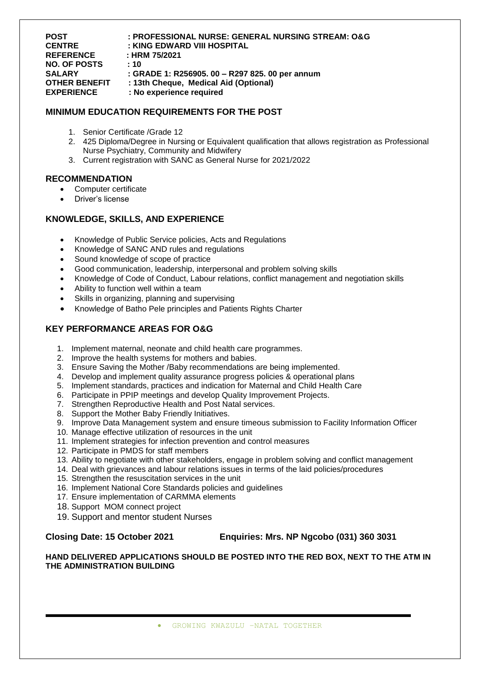# **POST : PROFESSIONAL NURSE: GENERAL NURSING STREAM: O&G**

**CENTRE : KING EDWARD VIII HOSPITAL REFERENCE : HRM 75/2021 NO. OF POSTS : 10**

**SALARY : GRADE 1: R256905. 00 – R297 825. 00 per annum**

**OTHER BENEFIT : 13th Cheque, Medical Aid (Optional)**<br>EXPERIENCE : No experience required

**EXPERIENCE : No experience required**

# **MINIMUM EDUCATION REQUIREMENTS FOR THE POST**

- 1. Senior Certificate /Grade 12
- 2. 425 Diploma/Degree in Nursing or Equivalent qualification that allows registration as Professional Nurse Psychiatry, Community and Midwifery
- 3. Current registration with SANC as General Nurse for 2021/2022

# **RECOMMENDATION**

- Computer certificate
- Driver's license

# **KNOWLEDGE, SKILLS, AND EXPERIENCE**

- Knowledge of Public Service policies, Acts and Regulations
- Knowledge of SANC AND rules and regulations
- Sound knowledge of scope of practice
- Good communication, leadership, interpersonal and problem solving skills
- Knowledge of Code of Conduct, Labour relations, conflict management and negotiation skills
- Ability to function well within a team
- Skills in organizing, planning and supervising
- Knowledge of Batho Pele principles and Patients Rights Charter

# **KEY PERFORMANCE AREAS FOR O&G**

- 1. Implement maternal, neonate and child health care programmes.
- 2. Improve the health systems for mothers and babies.
- 3. Ensure Saving the Mother /Baby recommendations are being implemented.
- 4. Develop and implement quality assurance progress policies & operational plans
- 5. Implement standards, practices and indication for Maternal and Child Health Care
- 6. Participate in PPIP meetings and develop Quality Improvement Projects.
- 7. Strengthen Reproductive Health and Post Natal services.
- 8. Support the Mother Baby Friendly Initiatives.
- 9. Improve Data Management system and ensure timeous submission to Facility Information Officer
- 10. Manage effective utilization of resources in the unit
- 11. Implement strategies for infection prevention and control measures
- 12. Participate in PMDS for staff members
- 13. Ability to negotiate with other stakeholders, engage in problem solving and conflict management
- 14. Deal with grievances and labour relations issues in terms of the laid policies/procedures
- 15. Strengthen the resuscitation services in the unit
- 16. Implement National Core Standards policies and guidelines
- 17. Ensure implementation of CARMMA elements
- 18. Support MOM connect project
- 19. Support and mentor student Nurses

**Closing Date: 15 October 2021 Enquiries: Mrs. NP Ngcobo (031) 360 3031**

## **HAND DELIVERED APPLICATIONS SHOULD BE POSTED INTO THE RED BOX, NEXT TO THE ATM IN THE ADMINISTRATION BUILDING**

GROWING KWAZULU –NATAL TOGETHER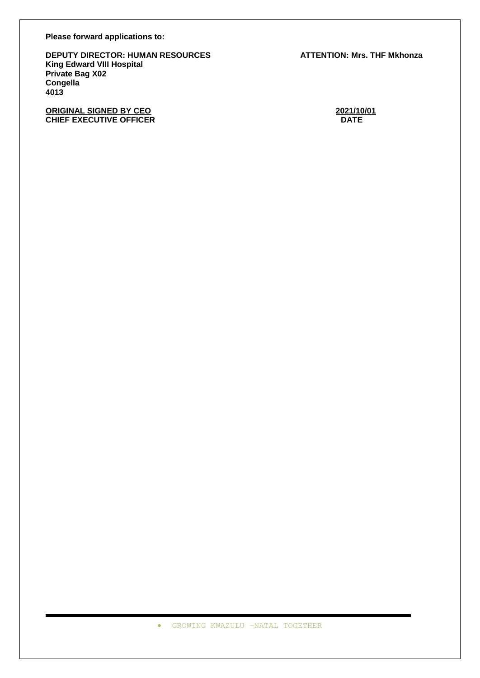**Please forward applications to:**

**DEPUTY DIRECTOR: HUMAN RESOURCES ATTENTION: Mrs. THF Mkhonza King Edward VIII Hospital Private Bag X02 Congella 4013**

**ORIGINAL SIGNED BY CEO**<br>
CHIEF EXECUTIVE OFFICER **CHIEF EXECUTIVE OFFICER CHIEF EXECUTIVE OFFICER** 

GROWING KWAZULU –NATAL TOGETHER